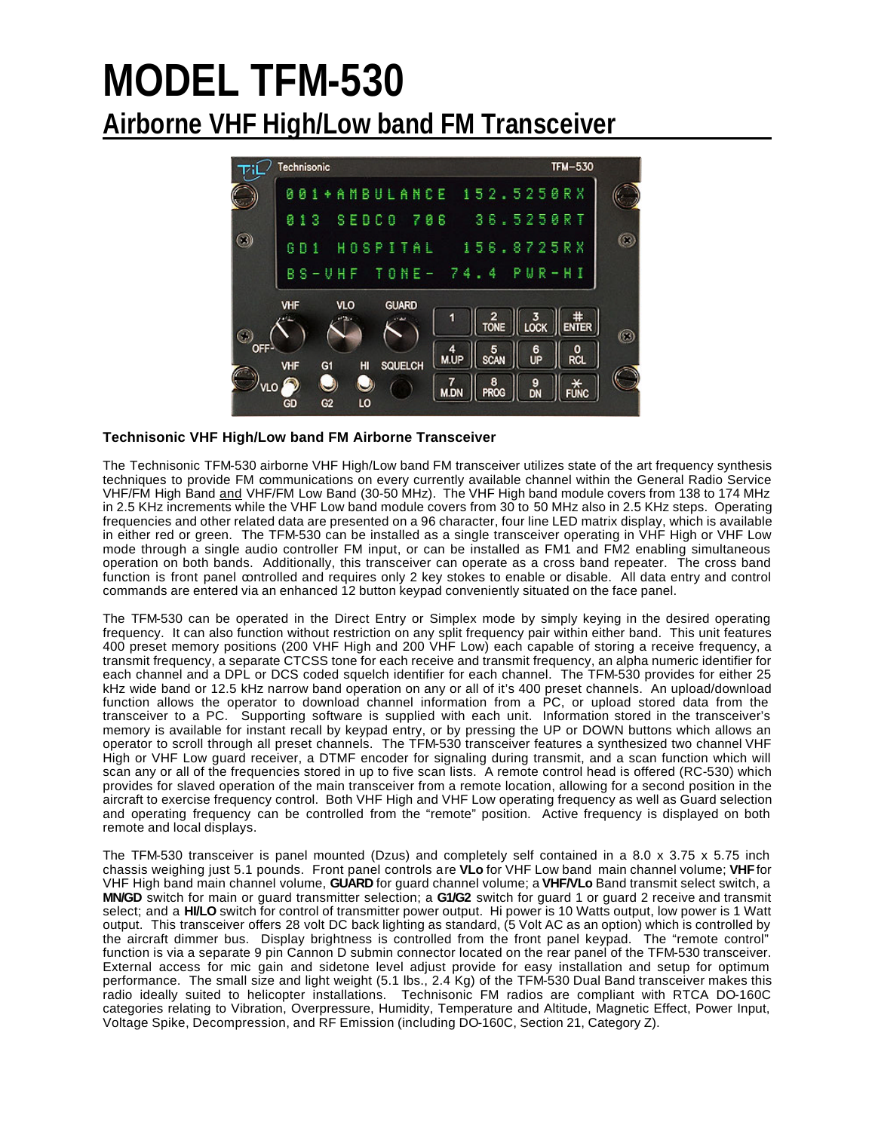# **MODEL TFM-530 Airborne VHF High/Low band FM Transceiver**



### **Technisonic VHF High/Low band FM Airborne Transceiver**

The Technisonic TFM-530 airborne VHF High/Low band FM transceiver utilizes state of the art frequency synthesis techniques to provide FM communications on every currently available channel within the General Radio Service VHF/FM High Band and VHF/FM Low Band (30-50 MHz). The VHF High band module covers from 138 to 174 MHz in 2.5 KHz increments while the VHF Low band module covers from 30 to 50 MHz also in 2.5 KHz steps. Operating frequencies and other related data are presented on a 96 character, four line LED matrix display, which is available in either red or green. The TFM-530 can be installed as a single transceiver operating in VHF High or VHF Low mode through a single audio controller FM input, or can be installed as FM1 and FM2 enabling simultaneous operation on both bands. Additionally, this transceiver can operate as a cross band repeater. The cross band function is front panel controlled and requires only 2 key stokes to enable or disable. All data entry and control commands are entered via an enhanced 12 button keypad conveniently situated on the face panel.

The TFM-530 can be operated in the Direct Entry or Simplex mode by simply keying in the desired operating frequency. It can also function without restriction on any split frequency pair within either band. This unit features 400 preset memory positions (200 VHF High and 200 VHF Low) each capable of storing a receive frequency, a transmit frequency, a separate CTCSS tone for each receive and transmit frequency, an alpha numeric identifier for each channel and a DPL or DCS coded squelch identifier for each channel. The TFM-530 provides for either 25 kHz wide band or 12.5 kHz narrow band operation on any or all of it's 400 preset channels. An upload/download function allows the operator to download channel information from a PC, or upload stored data from the transceiver to a PC. Supporting software is supplied with each unit. Information stored in the transceiver's memory is available for instant recall by keypad entry, or by pressing the UP or DOWN buttons which allows an operator to scroll through all preset channels. The TFM-530 transceiver features a synthesized two channel VHF High or VHF Low guard receiver, a DTMF encoder for signaling during transmit, and a scan function which will scan any or all of the frequencies stored in up to five scan lists. A remote control head is offered (RC-530) which provides for slaved operation of the main transceiver from a remote location, allowing for a second position in the aircraft to exercise frequency control. Both VHF High and VHF Low operating frequency as well as Guard selection and operating frequency can be controlled from the "remote" position. Active frequency is displayed on both remote and local displays.

The TFM-530 transceiver is panel mounted (Dzus) and completely self contained in a 8.0 x 3.75 x 5.75 inch chassis weighing just 5.1 pounds. Front panel controls are **VLo** for VHF Low band main channel volume; **VHF** for VHF High band main channel volume, **GUARD** for guard channel volume; a **VHF/VLo** Band transmit select switch, a **MN/GD** switch for main or guard transmitter selection; a **G1/G2** switch for guard 1 or guard 2 receive and transmit select; and a **HI/LO** switch for control of transmitter power output. Hi power is 10 Watts output, low power is 1 Watt output. This transceiver offers 28 volt DC back lighting as standard, (5 Volt AC as an option) which is controlled by the aircraft dimmer bus. Display brightness is controlled from the front panel keypad. The "remote control" function is via a separate 9 pin Cannon D submin connector located on the rear panel of the TFM-530 transceiver. External access for mic gain and sidetone level adjust provide for easy installation and setup for optimum performance. The small size and light weight (5.1 lbs., 2.4 Kg) of the TFM-530 Dual Band transceiver makes this radio ideally suited to helicopter installations. Technisonic FM radios are compliant with RTCA DO-160C categories relating to Vibration, Overpressure, Humidity, Temperature and Altitude, Magnetic Effect, Power Input, Voltage Spike, Decompression, and RF Emission (including DO-160C, Section 21, Category Z).